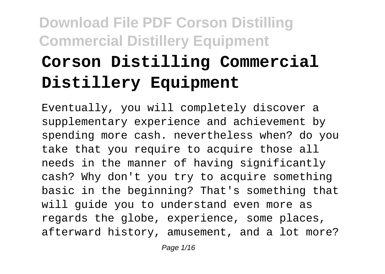# **Corson Distilling Commercial Distillery Equipment**

Eventually, you will completely discover a supplementary experience and achievement by spending more cash. nevertheless when? do you take that you require to acquire those all needs in the manner of having significantly cash? Why don't you try to acquire something basic in the beginning? That's something that will guide you to understand even more as regards the globe, experience, some places, afterward history, amusement, and a lot more?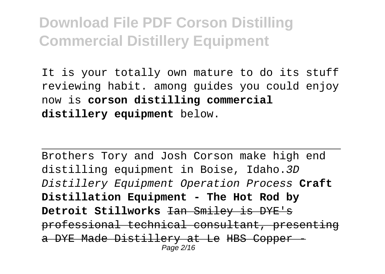It is your totally own mature to do its stuff reviewing habit. among guides you could enjoy now is **corson distilling commercial distillery equipment** below.

Brothers Tory and Josh Corson make high end distilling equipment in Boise, Idaho.3D Distillery Equipment Operation Process **Craft Distillation Equipment - The Hot Rod by Detroit Stillworks** Ian Smiley is DYE's professional technical consultant, presenting a DYE Made Distillery at Le HBS Copper Page 2/16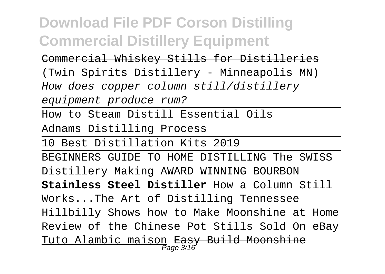Commercial Whiskey Stills for Distilleries

(Twin Spirits Distillery - Minneapolis MN)

How does copper column still/distillery

equipment produce rum?

How to Steam Distill Essential Oils

Adnams Distilling Process

10 Best Distillation Kits 2019

BEGINNERS GUIDE TO HOME DISTILLING The SWISS Distillery Making AWARD WINNING BOURBON **Stainless Steel Distiller** How a Column Still Works...The Art of Distilling Tennessee Hillbilly Shows how to Make Moonshine at Home Review of the Chinese Pot Stills Sold On eBay Tuto Alambic maison Easy Build Moonshine Page 3/16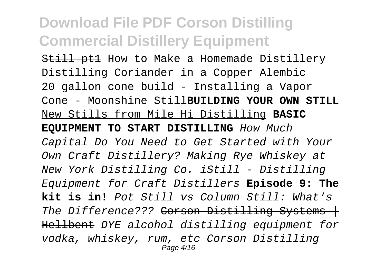Still ptl How to Make a Homemade Distillery Distilling Coriander in a Copper Alembic 20 gallon cone build - Installing a Vapor Cone - Moonshine Still**BUILDING YOUR OWN STILL** New Stills from Mile Hi Distilling **BASIC EQUIPMENT TO START DISTILLING** How Much Capital Do You Need to Get Started with Your Own Craft Distillery? Making Rye Whiskey at New York Distilling Co. iStill - Distilling Equipment for Craft Distillers **Episode 9: The kit is in!** Pot Still vs Column Still: What's The Difference??? Corson Distilling Systems + Hellbent DYE alcohol distilling equipment for vodka, whiskey, rum, etc Corson Distilling Page 4/16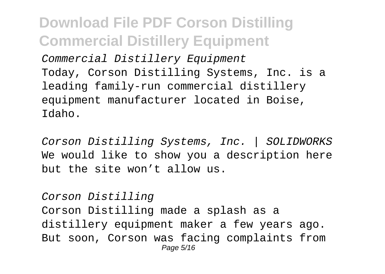Commercial Distillery Equipment Today, Corson Distilling Systems, Inc. is a leading family-run commercial distillery equipment manufacturer located in Boise, Idaho.

Corson Distilling Systems, Inc. | SOLIDWORKS We would like to show you a description here but the site won't allow us.

Corson Distilling Corson Distilling made a splash as a distillery equipment maker a few years ago. But soon, Corson was facing complaints from Page 5/16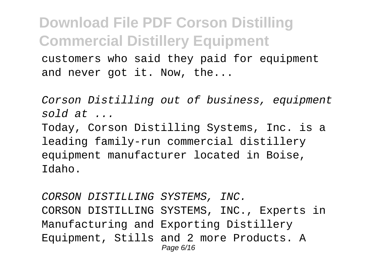customers who said they paid for equipment and never got it. Now, the...

Corson Distilling out of business, equipment sold at  $\ldots$ Today, Corson Distilling Systems, Inc. is a leading family-run commercial distillery equipment manufacturer located in Boise, Idaho.

CORSON DISTILLING SYSTEMS, INC. CORSON DISTILLING SYSTEMS, INC., Experts in Manufacturing and Exporting Distillery Equipment, Stills and 2 more Products. A Page 6/16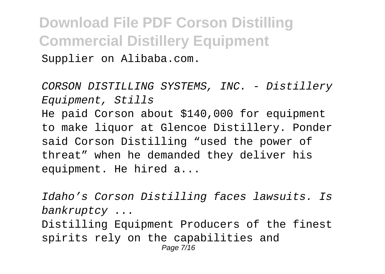Supplier on Alibaba.com.

CORSON DISTILLING SYSTEMS, INC. - Distillery Equipment, Stills He paid Corson about \$140,000 for equipment to make liquor at Glencoe Distillery. Ponder said Corson Distilling "used the power of threat" when he demanded they deliver his equipment. He hired a...

Idaho's Corson Distilling faces lawsuits. Is bankruptcy ... Distilling Equipment Producers of the finest spirits rely on the capabilities and Page 7/16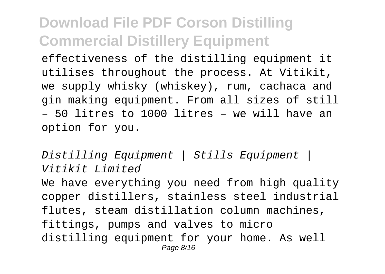effectiveness of the distilling equipment it utilises throughout the process. At Vitikit, we supply whisky (whiskey), rum, cachaca and gin making equipment. From all sizes of still – 50 litres to 1000 litres – we will have an option for you.

Distilling Equipment | Stills Equipment | Vitikit Limited We have everything you need from high quality copper distillers, stainless steel industrial flutes, steam distillation column machines, fittings, pumps and valves to micro distilling equipment for your home. As well Page 8/16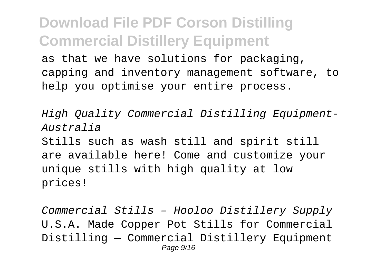as that we have solutions for packaging, capping and inventory management software, to help you optimise your entire process.

High Quality Commercial Distilling Equipment-Australia Stills such as wash still and spirit still are available here! Come and customize your unique stills with high quality at low prices!

Commercial Stills – Hooloo Distillery Supply U.S.A. Made Copper Pot Stills for Commercial Distilling — Commercial Distillery Equipment Page  $9/16$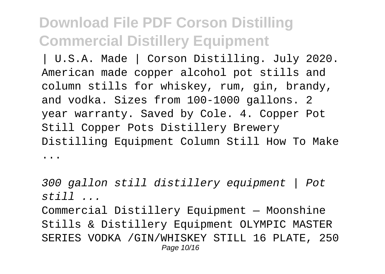| U.S.A. Made | Corson Distilling. July 2020. American made copper alcohol pot stills and column stills for whiskey, rum, gin, brandy, and vodka. Sizes from 100-1000 gallons. 2 year warranty. Saved by Cole. 4. Copper Pot Still Copper Pots Distillery Brewery Distilling Equipment Column Still How To Make ...

300 gallon still distillery equipment | Pot still ...

Commercial Distillery Equipment — Moonshine Stills & Distillery Equipment OLYMPIC MASTER SERIES VODKA /GIN/WHISKEY STILL 16 PLATE, 250 Page 10/16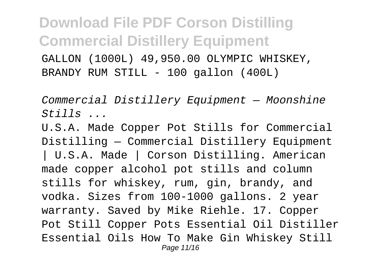GALLON (1000L) 49,950.00 OLYMPIC WHISKEY, BRANDY RUM STILL - 100 gallon (400L)

Commercial Distillery Equipment — Moonshine  $Stijlls$ 

U.S.A. Made Copper Pot Stills for Commercial Distilling — Commercial Distillery Equipment | U.S.A. Made | Corson Distilling. American made copper alcohol pot stills and column stills for whiskey, rum, gin, brandy, and vodka. Sizes from 100-1000 gallons. 2 year warranty. Saved by Mike Riehle. 17. Copper Pot Still Copper Pots Essential Oil Distiller Essential Oils How To Make Gin Whiskey Still Page 11/16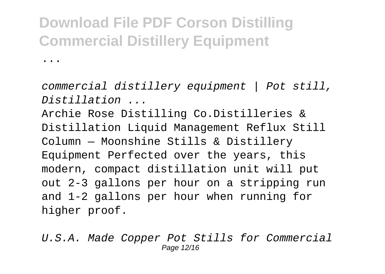...

commercial distillery equipment | Pot still, Distillation ...

Archie Rose Distilling Co.Distilleries & Distillation Liquid Management Reflux Still Column — Moonshine Stills & Distillery Equipment Perfected over the years, this modern, compact distillation unit will put out 2-3 gallons per hour on a stripping run and 1-2 gallons per hour when running for higher proof.

U.S.A. Made Copper Pot Stills for Commercial Page 12/16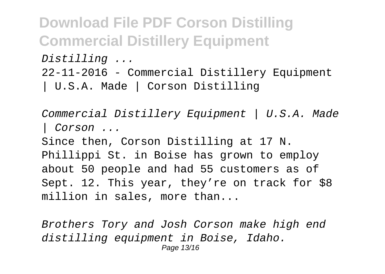**Download File PDF Corson Distilling Commercial Distillery Equipment** Distilling ... 22-11-2016 - Commercial Distillery Equipment | U.S.A. Made | Corson Distilling

Commercial Distillery Equipment | U.S.A. Made | Corson ... Since then, Corson Distilling at 17 N. Phillippi St. in Boise has grown to employ about 50 people and had 55 customers as of Sept. 12. This year, they're on track for \$8 million in sales, more than...

Brothers Tory and Josh Corson make high end distilling equipment in Boise, Idaho. Page 13/16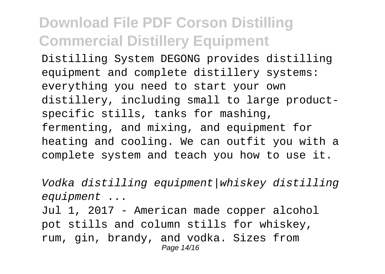Distilling System DEGONG provides distilling equipment and complete distillery systems: everything you need to start your own distillery, including small to large productspecific stills, tanks for mashing, fermenting, and mixing, and equipment for heating and cooling. We can outfit you with a complete system and teach you how to use it.

Vodka distilling equipment|whiskey distilling equipment ... Jul 1, 2017 - American made copper alcohol pot stills and column stills for whiskey, rum, gin, brandy, and vodka. Sizes from Page 14/16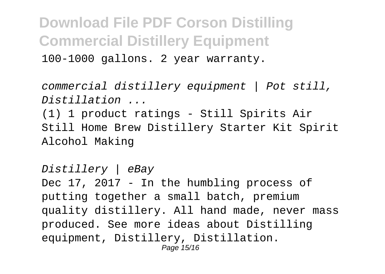100-1000 gallons. 2 year warranty.

commercial distillery equipment | Pot still, Distillation ...

(1) 1 product ratings - Still Spirits Air Still Home Brew Distillery Starter Kit Spirit Alcohol Making

Distillery | eBay Dec 17, 2017 - In the humbling process of putting together a small batch, premium quality distillery. All hand made, never mass produced. See more ideas about Distilling equipment, Distillery, Distillation. Page 15/16